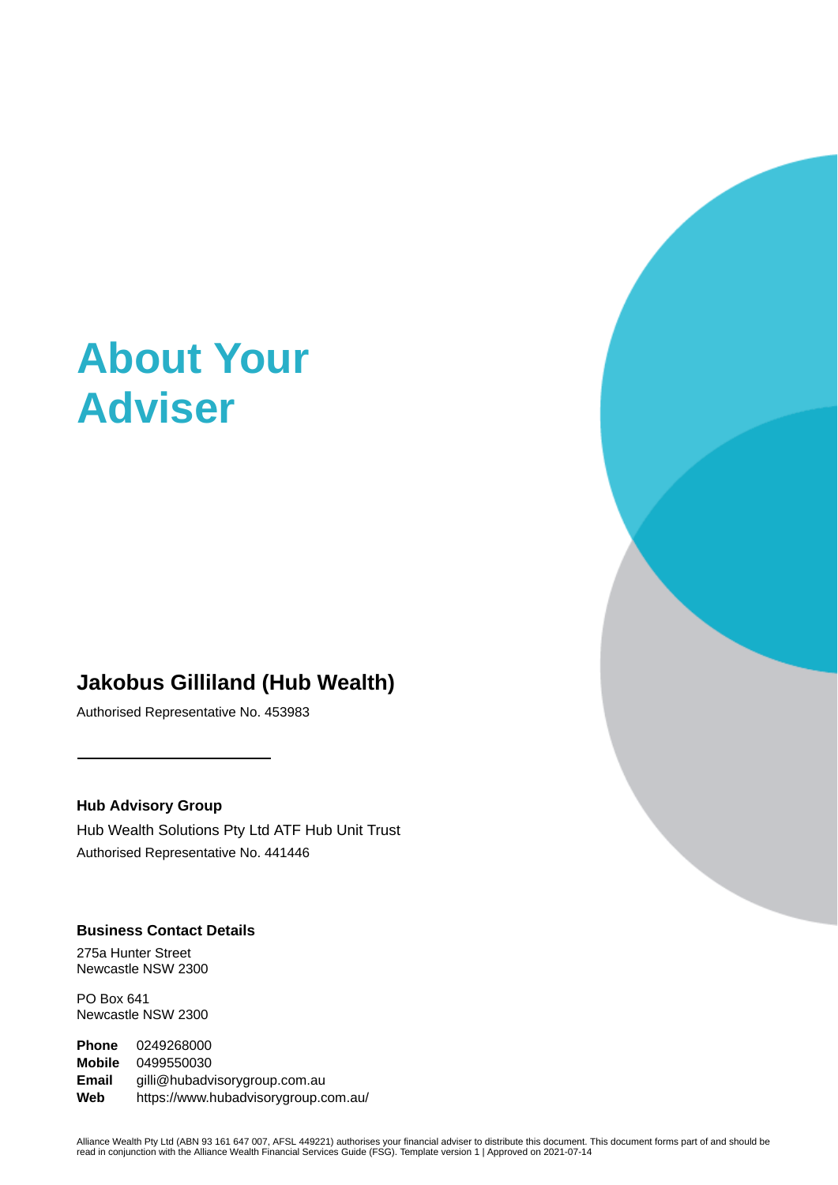# **About Your Adviser**

# **Jakobus Gilliland (Hub Wealth)**

Authorised Representative No. 453983

#### **Hub Advisory Group**

Hub Wealth Solutions Pty Ltd ATF Hub Unit Trust Authorised Representative No. 441446

# **Business Contact Details**

275a Hunter Street Newcastle NSW 2300

PO Box 641 Newcastle NSW 2300

**Phone** 0249268000 **Mobile** 0499550030 **Email** gilli@hubadvisorygroup.com.au **Web** https://www.hubadvisorygroup.com.au/